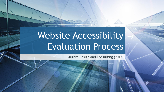# Website Accessibility Evaluation Process

Aurora Design and Consulting (2017)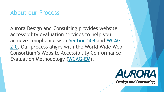#### About our Process

Aurora Design and Consulting provides website accessibility evaluation services to help you achieve compliance with [Section 508](https://www.section508.gov/) and WCAG [2.0. Our process aligns with the World Wide Web](https://www.w3.org/TR/WCAG20/) Consortium's Website Accessibility Conformance Evaluation Methodology ([WCAG-EM\)](https://www.w3.org/TR/WCAG-EM/).

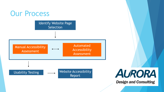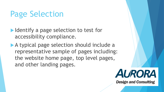# Page Selection

- Intertual Indentify a page selection to test for accessibility compliance.
- A typical page selection should include a representative sample of pages including: the website home page, top level pages, and other landing pages.

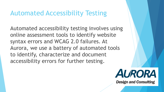#### Automated Accessibility Testing

Automated accessibility testing involves using online assessment tools to identify website syntax errors and WCAG 2.0 failures. At Aurora, we use a battery of automated tools to identify, characterize and document accessibility errors for further testing.

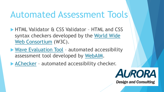# Automated Assessment Tools

- **HTML Validator & CSS Validator HTML and CSS** [syntax checkers developed by the World Wide](https://www.w3.org/)  Web Consortium (W3C).
- ▶ [Wave Evaluation Tool](http://wave.webaim.org/) automated accessibility assessment tool developed by [WebAIM.](https://webaim.org/)
- **[AChecker](https://achecker.ca/) automated accessibility checker.**

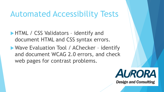### Automated Accessibility Tests

- **HTML / CSS Validators identify and** document HTML and CSS syntax errors.
- Wave Evaluation Tool / AChecker identify and document WCAG 2.0 errors, and check web pages for contrast problems.

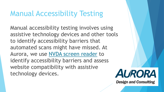### Manual Accessibility Testing

Manual accessibility testing involves using assistive technology devices and other tools to identify accessibility barriers that automated scans might have missed. At Aurora, we use [NVDA screen reader](https://www.nvaccess.org/download/) to identify accessibility barriers and assess website compatibility with assistive technology devices.

**AURORA**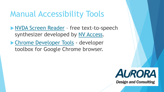## Manual Accessibility Tools

**[NVDA Screen Reader](https://www.nvaccess.org/download/) - free text-to-speech** synthesizer developed by [NV Access.](https://www.nvaccess.org/)

▶ [Chrome Developer Tools](https://developer.chrome.com/devtools) - developer toolbox for Google Chrome browser.

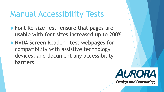### Manual Accessibility Tests

- ▶ Font Re-size Test- ensure that pages are usable with font sizes increased up to 200%.
- NVDA Screen Reader test webpages for compatibility with assistive technology devices, and document any accessibility barriers.

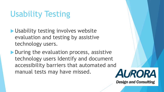# Usability Testing

- **I** Usability testing involves website evaluation and testing by assistive technology users.
- During the evaluation process, assistive technology users Identify and document accessibility barriers that automated and manual tests may have missed.

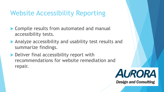#### Website Accessibility Reporting

- ▶ Compile results from automated and manual accessibility tests.
- Analyze accessibility and usability test results and summarize findings.
- ▶ Deliver final accessibility report with recommendations for website remediation and repair.